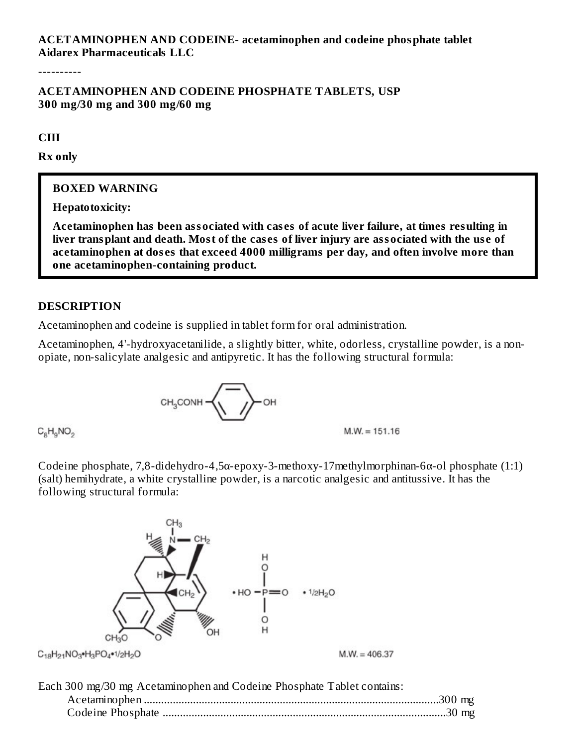### **ACETAMINOPHEN AND CODEINE- acetaminophen and codeine phosphate tablet Aidarex Pharmaceuticals LLC**

----------

### **ACETAMINOPHEN AND CODEINE PHOSPHATE TABLETS, USP 300 mg/30 mg and 300 mg/60 mg**

**CIII**

**Rx only**

### **BOXED WARNING**

**Hepatotoxicity:**

**Acetaminophen has been associated with cas es of acute liver failure, at times resulting in** liver transplant and death. Most of the cases of liver injury are associated with the use of **acetaminophen at dos es that exceed 4000 milligrams per day, and often involve more than one acetaminophen-containing product.**

### **DESCRIPTION**

Acetaminophen and codeine is supplied in tablet form for oral administration.

Acetaminophen, 4'-hydroxyacetanilide, a slightly bitter, white, odorless, crystalline powder, is a nonopiate, non-salicylate analgesic and antipyretic. It has the following structural formula:

$$
\text{CH}_3\text{CONH}\left(\overline{\text{CH}_3\text{CONH}}
$$

 $C_sH_0NO_2$ 

Codeine phosphate, 7,8-didehydro-4,5α-epoxy-3-methoxy-17methylmorphinan-6α-ol phosphate (1:1) (salt) hemihydrate, a white crystalline powder, is a narcotic analgesic and antitussive. It has the following structural formula:

 $M.W. = 151.16$ 



| Each 300 mg/30 mg Acetaminophen and Codeine Phosphate Tablet contains: |  |
|------------------------------------------------------------------------|--|
|                                                                        |  |
|                                                                        |  |
|                                                                        |  |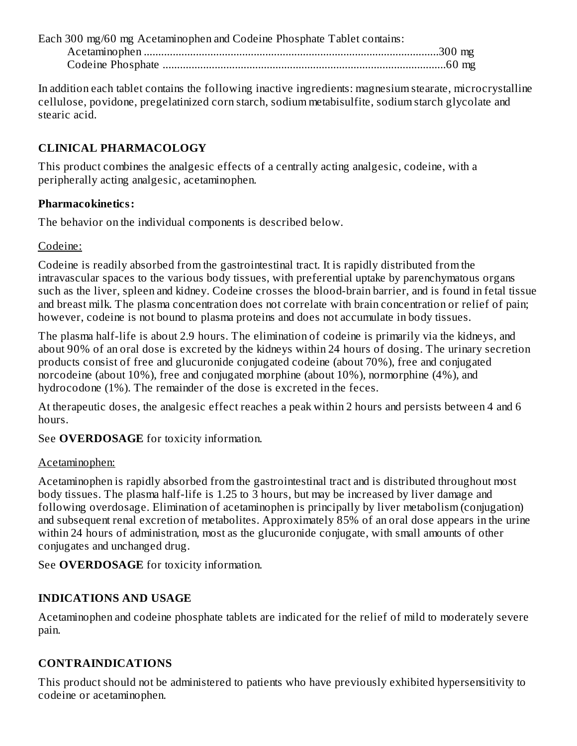| Each 300 mg/60 mg Acetaminophen and Codeine Phosphate Tablet contains: |  |
|------------------------------------------------------------------------|--|
|                                                                        |  |
|                                                                        |  |

In addition each tablet contains the following inactive ingredients: magnesium stearate, microcrystalline cellulose, povidone, pregelatinized corn starch, sodium metabisulfite, sodium starch glycolate and stearic acid.

## **CLINICAL PHARMACOLOGY**

This product combines the analgesic effects of a centrally acting analgesic, codeine, with a peripherally acting analgesic, acetaminophen.

## **Pharmacokinetics:**

The behavior on the individual components is described below.

### Codeine:

Codeine is readily absorbed from the gastrointestinal tract. It is rapidly distributed from the intravascular spaces to the various body tissues, with preferential uptake by parenchymatous organs such as the liver, spleen and kidney. Codeine crosses the blood-brain barrier, and is found in fetal tissue and breast milk. The plasma concentration does not correlate with brain concentration or relief of pain; however, codeine is not bound to plasma proteins and does not accumulate in body tissues.

The plasma half-life is about 2.9 hours. The elimination of codeine is primarily via the kidneys, and about 90% of an oral dose is excreted by the kidneys within 24 hours of dosing. The urinary secretion products consist of free and glucuronide conjugated codeine (about 70%), free and conjugated norcodeine (about 10%), free and conjugated morphine (about 10%), normorphine (4%), and hydrocodone (1%). The remainder of the dose is excreted in the feces.

At therapeutic doses, the analgesic effect reaches a peak within 2 hours and persists between 4 and 6 hours.

See **OVERDOSAGE** for toxicity information.

## Acetaminophen:

Acetaminophen is rapidly absorbed from the gastrointestinal tract and is distributed throughout most body tissues. The plasma half-life is 1.25 to 3 hours, but may be increased by liver damage and following overdosage. Elimination of acetaminophen is principally by liver metabolism (conjugation) and subsequent renal excretion of metabolites. Approximately 85% of an oral dose appears in the urine within 24 hours of administration, most as the glucuronide conjugate, with small amounts of other conjugates and unchanged drug.

See **OVERDOSAGE** for toxicity information.

# **INDICATIONS AND USAGE**

Acetaminophen and codeine phosphate tablets are indicated for the relief of mild to moderately severe pain.

## **CONTRAINDICATIONS**

This product should not be administered to patients who have previously exhibited hypersensitivity to codeine or acetaminophen.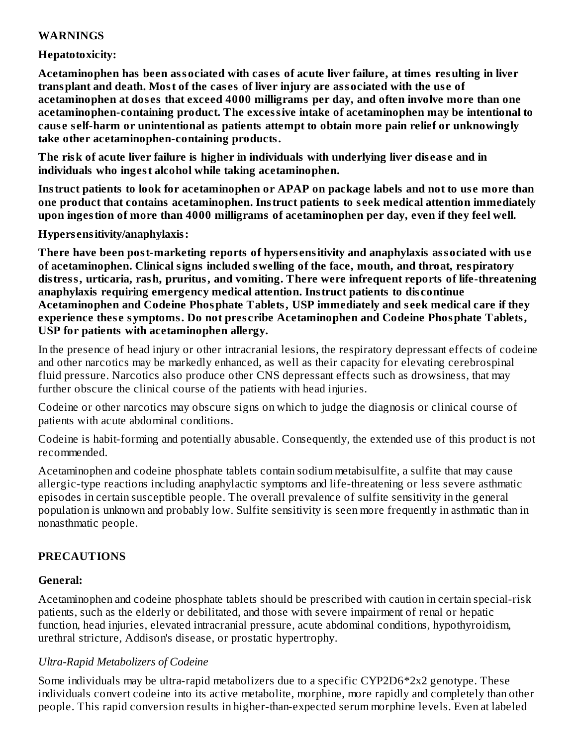#### **WARNINGS**

#### **Hepatotoxicity:**

**Acetaminophen has been associated with cas es of acute liver failure, at times resulting in liver transplant and death. Most of the cas es of liver injury are associated with the us e of acetaminophen at dos es that exceed 4000 milligrams per day, and often involve more than one acetaminophen-containing product. The excessive intake of acetaminophen may be intentional to caus e s elf-harm or unintentional as patients attempt to obtain more pain relief or unknowingly take other acetaminophen-containing products.**

**The risk of acute liver failure is higher in individuals with underlying liver dis eas e and in individuals who ingest alcohol while taking acetaminophen.**

**Instruct patients to look for acetaminophen or APAP on package labels and not to us e more than one product that contains acetaminophen. Instruct patients to s eek medical attention immediately upon ingestion of more than 4000 milligrams of acetaminophen per day, even if they feel well.**

**Hypers ensitivity/anaphylaxis:**

**There have been post-marketing reports of hypers ensitivity and anaphylaxis associated with us e of acetaminophen. Clinical signs included swelling of the face, mouth, and throat, respiratory distress, urticaria, rash, pruritus, and vomiting. There were infrequent reports of life-threatening anaphylaxis requiring emergency medical attention. Instruct patients to dis continue Acetaminophen and Codeine Phosphate Tablets, USP immediately and s eek medical care if they experience thes e symptoms. Do not pres cribe Acetaminophen and Codeine Phosphate Tablets, USP for patients with acetaminophen allergy.**

In the presence of head injury or other intracranial lesions, the respiratory depressant effects of codeine and other narcotics may be markedly enhanced, as well as their capacity for elevating cerebrospinal fluid pressure. Narcotics also produce other CNS depressant effects such as drowsiness, that may further obscure the clinical course of the patients with head injuries.

Codeine or other narcotics may obscure signs on which to judge the diagnosis or clinical course of patients with acute abdominal conditions.

Codeine is habit-forming and potentially abusable. Consequently, the extended use of this product is not recommended.

Acetaminophen and codeine phosphate tablets contain sodium metabisulfite, a sulfite that may cause allergic-type reactions including anaphylactic symptoms and life-threatening or less severe asthmatic episodes in certain susceptible people. The overall prevalence of sulfite sensitivity in the general population is unknown and probably low. Sulfite sensitivity is seen more frequently in asthmatic than in nonasthmatic people.

#### **PRECAUTIONS**

#### **General:**

Acetaminophen and codeine phosphate tablets should be prescribed with caution in certain special-risk patients, such as the elderly or debilitated, and those with severe impairment of renal or hepatic function, head injuries, elevated intracranial pressure, acute abdominal conditions, hypothyroidism, urethral stricture, Addison's disease, or prostatic hypertrophy.

#### *Ultra-Rapid Metabolizers of Codeine*

Some individuals may be ultra-rapid metabolizers due to a specific CYP2D6\*2x2 genotype. These individuals convert codeine into its active metabolite, morphine, more rapidly and completely than other people. This rapid conversion results in higher-than-expected serum morphine levels. Even at labeled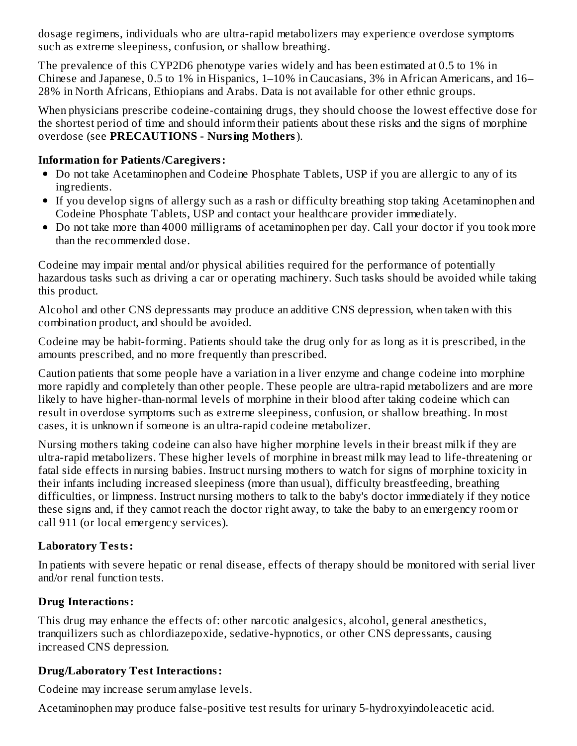dosage regimens, individuals who are ultra-rapid metabolizers may experience overdose symptoms such as extreme sleepiness, confusion, or shallow breathing.

The prevalence of this CYP2D6 phenotype varies widely and has been estimated at 0.5 to 1% in Chinese and Japanese, 0.5 to 1% in Hispanics, 1–10% in Caucasians, 3% in African Americans, and 16– 28% in North Africans, Ethiopians and Arabs. Data is not available for other ethnic groups.

When physicians prescribe codeine-containing drugs, they should choose the lowest effective dose for the shortest period of time and should inform their patients about these risks and the signs of morphine overdose (see **PRECAUTIONS - Nursing Mothers**).

### **Information for Patients/Caregivers:**

- Do not take Acetaminophen and Codeine Phosphate Tablets, USP if you are allergic to any of its ingredients.
- If you develop signs of allergy such as a rash or difficulty breathing stop taking Acetaminophen and Codeine Phosphate Tablets, USP and contact your healthcare provider immediately.
- Do not take more than 4000 milligrams of acetaminophen per day. Call your doctor if you took more than the recommended dose.

Codeine may impair mental and/or physical abilities required for the performance of potentially hazardous tasks such as driving a car or operating machinery. Such tasks should be avoided while taking this product.

Alcohol and other CNS depressants may produce an additive CNS depression, when taken with this combination product, and should be avoided.

Codeine may be habit-forming. Patients should take the drug only for as long as it is prescribed, in the amounts prescribed, and no more frequently than prescribed.

Caution patients that some people have a variation in a liver enzyme and change codeine into morphine more rapidly and completely than other people. These people are ultra-rapid metabolizers and are more likely to have higher-than-normal levels of morphine in their blood after taking codeine which can result in overdose symptoms such as extreme sleepiness, confusion, or shallow breathing. In most cases, it is unknown if someone is an ultra-rapid codeine metabolizer.

Nursing mothers taking codeine can also have higher morphine levels in their breast milk if they are ultra-rapid metabolizers. These higher levels of morphine in breast milk may lead to life-threatening or fatal side effects in nursing babies. Instruct nursing mothers to watch for signs of morphine toxicity in their infants including increased sleepiness (more than usual), difficulty breastfeeding, breathing difficulties, or limpness. Instruct nursing mothers to talk to the baby's doctor immediately if they notice these signs and, if they cannot reach the doctor right away, to take the baby to an emergency room or call 911 (or local emergency services).

### **Laboratory Tests:**

In patients with severe hepatic or renal disease, effects of therapy should be monitored with serial liver and/or renal function tests.

### **Drug Interactions:**

This drug may enhance the effects of: other narcotic analgesics, alcohol, general anesthetics, tranquilizers such as chlordiazepoxide, sedative-hypnotics, or other CNS depressants, causing increased CNS depression.

## **Drug/Laboratory Test Interactions:**

Codeine may increase serum amylase levels.

Acetaminophen may produce false-positive test results for urinary 5-hydroxyindoleacetic acid.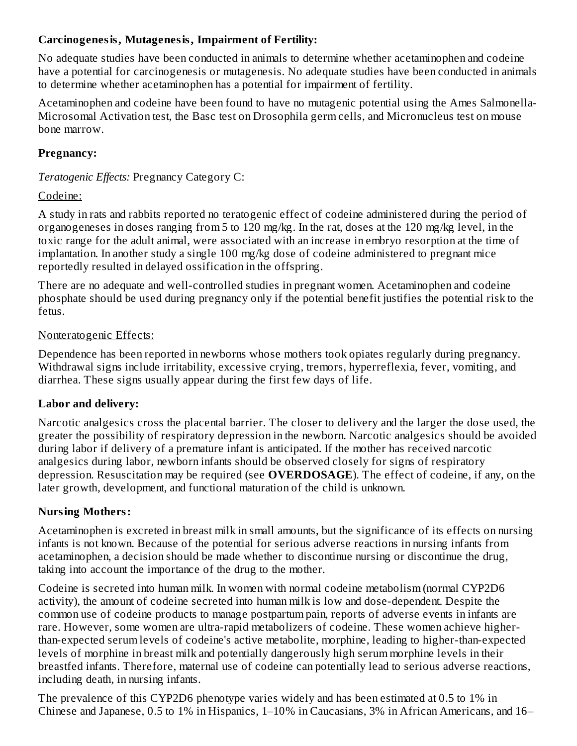### **Carcinogenesis, Mutagenesis, Impairment of Fertility:**

No adequate studies have been conducted in animals to determine whether acetaminophen and codeine have a potential for carcinogenesis or mutagenesis. No adequate studies have been conducted in animals to determine whether acetaminophen has a potential for impairment of fertility.

Acetaminophen and codeine have been found to have no mutagenic potential using the Ames Salmonella-Microsomal Activation test, the Basc test on Drosophila germ cells, and Micronucleus test on mouse bone marrow.

## **Pregnancy:**

*Teratogenic Effects:* Pregnancy Category C:

### Codeine:

A study in rats and rabbits reported no teratogenic effect of codeine administered during the period of organogeneses in doses ranging from 5 to 120 mg/kg. In the rat, doses at the 120 mg/kg level, in the toxic range for the adult animal, were associated with an increase in embryo resorption at the time of implantation. In another study a single 100 mg/kg dose of codeine administered to pregnant mice reportedly resulted in delayed ossification in the offspring.

There are no adequate and well-controlled studies in pregnant women. Acetaminophen and codeine phosphate should be used during pregnancy only if the potential benefit justifies the potential risk to the fetus.

### Nonteratogenic Effects:

Dependence has been reported in newborns whose mothers took opiates regularly during pregnancy. Withdrawal signs include irritability, excessive crying, tremors, hyperreflexia, fever, vomiting, and diarrhea. These signs usually appear during the first few days of life.

### **Labor and delivery:**

Narcotic analgesics cross the placental barrier. The closer to delivery and the larger the dose used, the greater the possibility of respiratory depression in the newborn. Narcotic analgesics should be avoided during labor if delivery of a premature infant is anticipated. If the mother has received narcotic analgesics during labor, newborn infants should be observed closely for signs of respiratory depression. Resuscitation may be required (see **OVERDOSAGE**). The effect of codeine, if any, on the later growth, development, and functional maturation of the child is unknown.

### **Nursing Mothers:**

Acetaminophen is excreted in breast milk in small amounts, but the significance of its effects on nursing infants is not known. Because of the potential for serious adverse reactions in nursing infants from acetaminophen, a decision should be made whether to discontinue nursing or discontinue the drug, taking into account the importance of the drug to the mother.

Codeine is secreted into human milk. In women with normal codeine metabolism (normal CYP2D6 activity), the amount of codeine secreted into human milk is low and dose-dependent. Despite the common use of codeine products to manage postpartum pain, reports of adverse events in infants are rare. However, some women are ultra-rapid metabolizers of codeine. These women achieve higherthan-expected serum levels of codeine's active metabolite, morphine, leading to higher-than-expected levels of morphine in breast milk and potentially dangerously high serum morphine levels in their breastfed infants. Therefore, maternal use of codeine can potentially lead to serious adverse reactions, including death, in nursing infants.

The prevalence of this CYP2D6 phenotype varies widely and has been estimated at 0.5 to 1% in Chinese and Japanese, 0.5 to 1% in Hispanics, 1–10% in Caucasians, 3% in African Americans, and 16–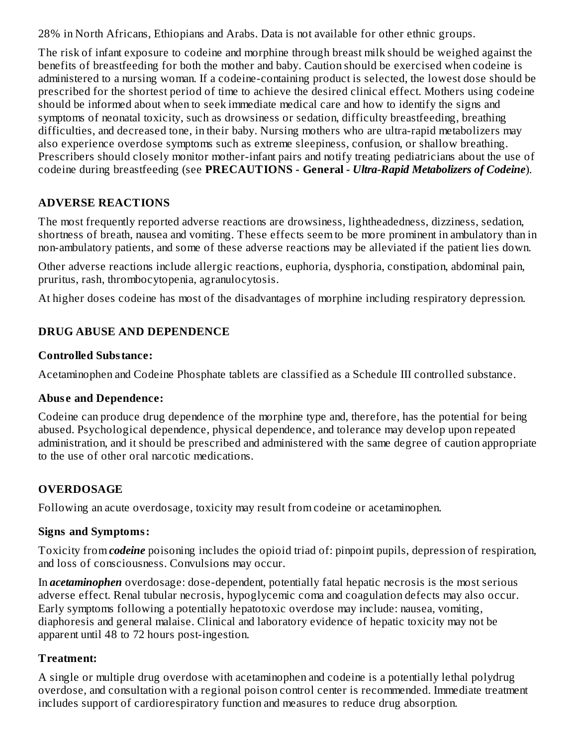28% in North Africans, Ethiopians and Arabs. Data is not available for other ethnic groups.

The risk of infant exposure to codeine and morphine through breast milk should be weighed against the benefits of breastfeeding for both the mother and baby. Caution should be exercised when codeine is administered to a nursing woman. If a codeine-containing product is selected, the lowest dose should be prescribed for the shortest period of time to achieve the desired clinical effect. Mothers using codeine should be informed about when to seek immediate medical care and how to identify the signs and symptoms of neonatal toxicity, such as drowsiness or sedation, difficulty breastfeeding, breathing difficulties, and decreased tone, in their baby. Nursing mothers who are ultra-rapid metabolizers may also experience overdose symptoms such as extreme sleepiness, confusion, or shallow breathing. Prescribers should closely monitor mother-infant pairs and notify treating pediatricians about the use of codeine during breastfeeding (see **PRECAUTIONS - General** *- Ultra-Rapid Metabolizers of Codeine*).

## **ADVERSE REACTIONS**

The most frequently reported adverse reactions are drowsiness, lightheadedness, dizziness, sedation, shortness of breath, nausea and vomiting. These effects seem to be more prominent in ambulatory than in non-ambulatory patients, and some of these adverse reactions may be alleviated if the patient lies down.

Other adverse reactions include allergic reactions, euphoria, dysphoria, constipation, abdominal pain, pruritus, rash, thrombocytopenia, agranulocytosis.

At higher doses codeine has most of the disadvantages of morphine including respiratory depression.

## **DRUG ABUSE AND DEPENDENCE**

### **Controlled Substance:**

Acetaminophen and Codeine Phosphate tablets are classified as a Schedule III controlled substance.

## **Abus e and Dependence:**

Codeine can produce drug dependence of the morphine type and, therefore, has the potential for being abused. Psychological dependence, physical dependence, and tolerance may develop upon repeated administration, and it should be prescribed and administered with the same degree of caution appropriate to the use of other oral narcotic medications.

## **OVERDOSAGE**

Following an acute overdosage, toxicity may result from codeine or acetaminophen.

## **Signs and Symptoms:**

Toxicity from *codeine* poisoning includes the opioid triad of: pinpoint pupils, depression of respiration, and loss of consciousness. Convulsions may occur.

In *acetaminophen* overdosage: dose-dependent, potentially fatal hepatic necrosis is the most serious adverse effect. Renal tubular necrosis, hypoglycemic coma and coagulation defects may also occur. Early symptoms following a potentially hepatotoxic overdose may include: nausea, vomiting, diaphoresis and general malaise. Clinical and laboratory evidence of hepatic toxicity may not be apparent until 48 to 72 hours post-ingestion.

## **Treatment:**

A single or multiple drug overdose with acetaminophen and codeine is a potentially lethal polydrug overdose, and consultation with a regional poison control center is recommended. Immediate treatment includes support of cardiorespiratory function and measures to reduce drug absorption.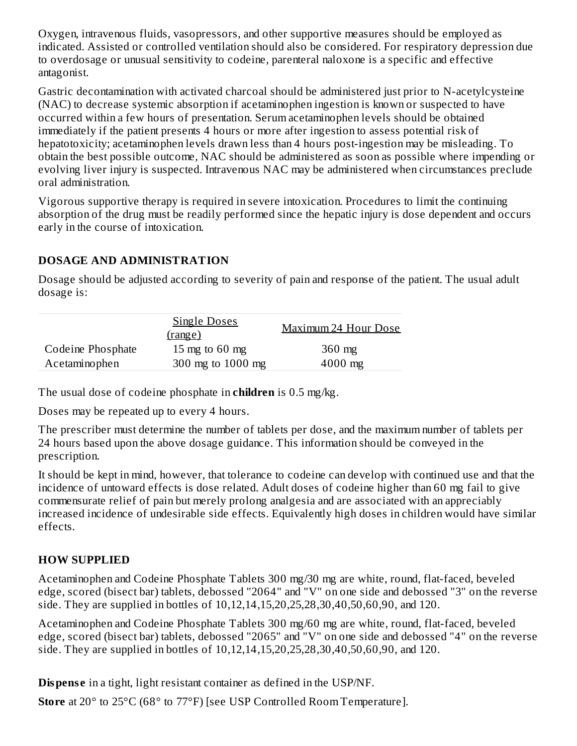Oxygen, intravenous fluids, vasopressors, and other supportive measures should be employed as indicated. Assisted or controlled ventilation should also be considered. For respiratory depression due to overdosage or unusual sensitivity to codeine, parenteral naloxone is a specific and effective antagonist.

Gastric decontamination with activated charcoal should be administered just prior to N-acetylcysteine (NAC) to decrease systemic absorption if acetaminophen ingestion is known or suspected to have occurred within a few hours of presentation. Serum acetaminophen levels should be obtained immediately if the patient presents 4 hours or more after ingestion to assess potential risk of hepatotoxicity; acetaminophen levels drawn less than 4 hours post-ingestion may be misleading. To obtain the best possible outcome, NAC should be administered as soon as possible where impending or evolving liver injury is suspected. Intravenous NAC may be administered when circumstances preclude oral administration.

Vigorous supportive therapy is required in severe intoxication. Procedures to limit the continuing absorption of the drug must be readily performed since the hepatic injury is dose dependent and occurs early in the course of intoxication.

### **DOSAGE AND ADMINISTRATION**

Dosage should be adjusted according to severity of pain and response of the patient. The usual adult dosage is:

| <b>Single Doses</b><br>(range) |                   | Maximum 24 Hour Dose |
|--------------------------------|-------------------|----------------------|
| Codeine Phosphate              | 15 mg to 60 mg    | $360$ mg             |
| Acetaminophen                  | 300 mg to 1000 mg | $4000$ mg            |

The usual dose of codeine phosphate in **children** is 0.5 mg/kg.

Doses may be repeated up to every 4 hours.

The prescriber must determine the number of tablets per dose, and the maximum number of tablets per 24 hours based upon the above dosage guidance. This information should be conveyed in the prescription.

It should be kept in mind, however, that tolerance to codeine can develop with continued use and that the incidence of untoward effects is dose related. Adult doses of codeine higher than 60 mg fail to give commensurate relief of pain but merely prolong analgesia and are associated with an appreciably increased incidence of undesirable side effects. Equivalently high doses in children would have similar effects.

# **HOW SUPPLIED**

Acetaminophen and Codeine Phosphate Tablets 300 mg/30 mg are white, round, flat-faced, beveled edge, scored (bisect bar) tablets, debossed "2064" and "V" on one side and debossed "3" on the reverse side. They are supplied in bottles of 10,12,14,15,20,25,28,30,40,50,60,90, and 120.

Acetaminophen and Codeine Phosphate Tablets 300 mg/60 mg are white, round, flat-faced, beveled edge, scored (bisect bar) tablets, debossed "2065" and "V" on one side and debossed "4" on the reverse side. They are supplied in bottles of 10,12,14,15,20,25,28,30,40,50,60,90, and 120.

**Dispense** in a tight, light resistant container as defined in the USP/NF.

**Store** at 20° to 25°C (68° to 77°F) [see USP Controlled Room Temperature].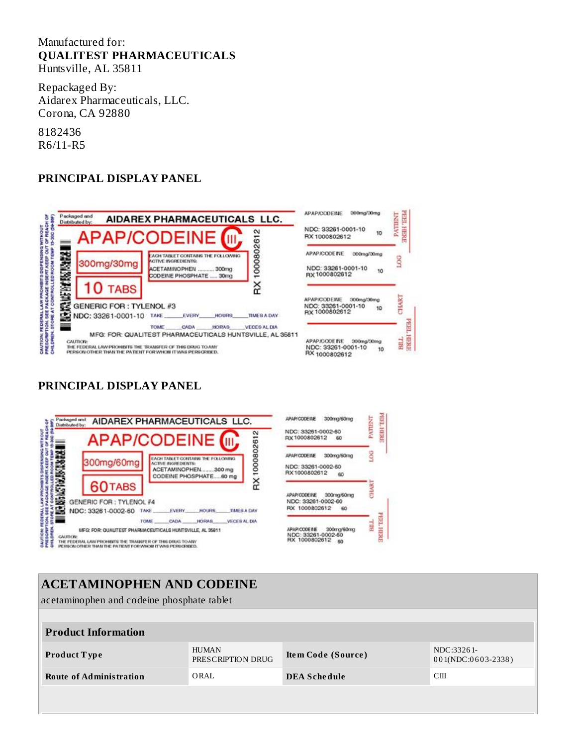#### Manufactured for: **QUALITEST PHARMACEUTICALS** Huntsville, AL 35811

Repackaged By: Aidarex Pharmaceuticals, LLC. Corona, CA 92880

8182436 R6/11-R5

### **PRINCIPAL DISPLAY PANEL**



#### **PRINCIPAL DISPLAY PANEL**



| <b>APAPICODE INE</b><br>300mg/60mg                                  |  |
|---------------------------------------------------------------------|--|
| NDC: 33261-0002-60<br>RX1000802612 60                               |  |
| APAP/CODEINE 300mg/60mg                                             |  |
| NDC: 33261-0002-60<br>RX1000802612<br>60                            |  |
| APAP/CODE##E 300mg/60mg<br>NDC: 33261-0002-60<br>RX 1000802612 60   |  |
| APAP/CODE#E 300mg/60mg<br>NDC: 33261-0002-60<br>RX 1000802612<br>60 |  |

PATTENT

SOG

CHART

**EEd** 

HERE

БШ

PEEL HERE

## **ACETAMINOPHEN AND CODEINE** acetaminophen and codeine phosphate tablet **Product Information Product T ype** HUMAN PRESCRIPTION DRUG **Ite m Code (Source )** NDC:3326 1- 001(NDC:0603-2338) **Route of Administration** ORAL **DEA Sche dule** CIII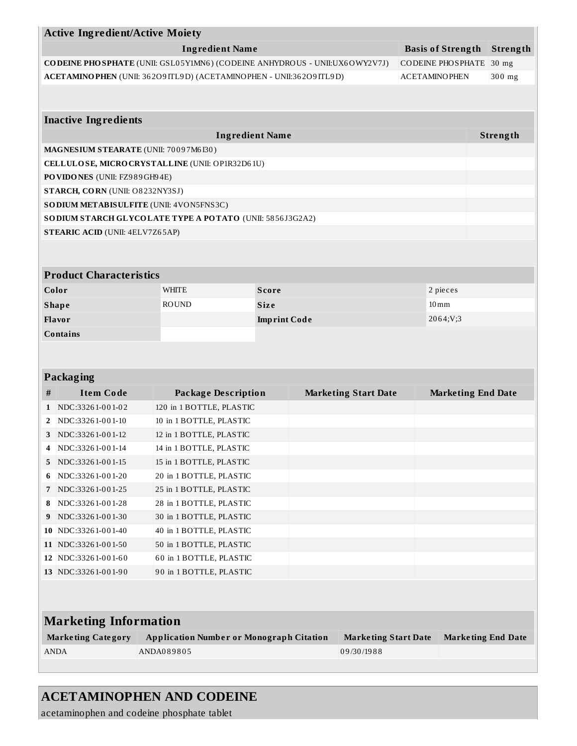|                                                                             | <b>Active Ingredient/Active Moiety</b>                               |                     |                             |                          |                           |          |
|-----------------------------------------------------------------------------|----------------------------------------------------------------------|---------------------|-----------------------------|--------------------------|---------------------------|----------|
| <b>Ingredient Name</b>                                                      |                                                                      |                     |                             | <b>Basis of Strength</b> |                           | Strength |
| CODEINE PHO SPHATE (UNII: GSL05Y1MN6) (CODEINE ANHYDROUS - UNII:UX6OWY2V7J) |                                                                      |                     |                             | <b>CODEINE PHOSPHATE</b> |                           | $30$ mg  |
|                                                                             | ACETAMINO PHEN (UNII: 36209ITL9D) (ACETAMINO PHEN - UNII:36209ITL9D) |                     |                             | <b>ACETAMINOPHEN</b>     |                           | 300 mg   |
|                                                                             |                                                                      |                     |                             |                          |                           |          |
|                                                                             |                                                                      |                     |                             |                          |                           |          |
| <b>Inactive Ingredients</b>                                                 |                                                                      |                     |                             |                          |                           |          |
|                                                                             | <b>Ingredient Name</b>                                               |                     |                             |                          |                           | Strength |
| MAGNESIUM STEARATE (UNII: 70097M6130)                                       |                                                                      |                     |                             |                          |                           |          |
|                                                                             | CELLULOSE, MICRO CRYSTALLINE (UNII: OP1R32D61U)                      |                     |                             |                          |                           |          |
| PO VIDONES (UNII: FZ989GH94E)<br>STARCH, CORN (UNII: O8232NY3SJ)            |                                                                      |                     |                             |                          |                           |          |
| SO DIUM METABISULFITE (UNII: 4VON5FNS3C)                                    |                                                                      |                     |                             |                          |                           |          |
|                                                                             | SODIUM STARCH GLYCOLATE TYPE A POTATO (UNII: 5856J3G2A2)             |                     |                             |                          |                           |          |
| <b>STEARIC ACID (UNII: 4ELV7Z65AP)</b>                                      |                                                                      |                     |                             |                          |                           |          |
|                                                                             |                                                                      |                     |                             |                          |                           |          |
|                                                                             |                                                                      |                     |                             |                          |                           |          |
| <b>Product Characteristics</b>                                              |                                                                      |                     |                             |                          |                           |          |
| Color                                                                       | <b>WHITE</b>                                                         | <b>Score</b>        |                             |                          | 2 pieces                  |          |
| <b>Shape</b>                                                                | <b>ROUND</b>                                                         | <b>Size</b>         |                             | $10 \,\mathrm{mm}$       |                           |          |
| Flavor                                                                      |                                                                      | <b>Imprint Code</b> |                             |                          | 2064;V;3                  |          |
| Contains                                                                    |                                                                      |                     |                             |                          |                           |          |
|                                                                             |                                                                      |                     |                             |                          |                           |          |
|                                                                             |                                                                      |                     |                             |                          |                           |          |
| <b>Packaging</b>                                                            |                                                                      |                     |                             |                          |                           |          |
| <b>Item Code</b><br>#                                                       | <b>Package Description</b>                                           |                     | <b>Marketing Start Date</b> |                          | <b>Marketing End Date</b> |          |
| NDC:33261-001-02<br>1                                                       | 120 in 1 BOTTLE, PLASTIC                                             |                     |                             |                          |                           |          |
| NDC:33261-001-10<br>2                                                       | 10 in 1 BOTTLE, PLASTIC                                              |                     |                             |                          |                           |          |
| NDC:33261-001-12<br>3                                                       | 12 in 1 BOTTLE, PLASTIC                                              |                     |                             |                          |                           |          |
| NDC:33261-001-14<br>NDC:33261-001-15                                        | 14 in 1 BOTTLE, PLASTIC                                              |                     |                             |                          |                           |          |
| 5<br>NDC:33261-001-20<br>6                                                  | 15 in 1 BOTTLE, PLASTIC<br>20 in 1 BOTTLE, PLASTIC                   |                     |                             |                          |                           |          |
| NDC:33261-001-25<br>7                                                       | 25 in 1 BOTTLE, PLASTIC                                              |                     |                             |                          |                           |          |
| NDC:33261-001-28<br>8                                                       | 28 in 1 BOTTLE, PLASTIC                                              |                     |                             |                          |                           |          |
| NDC:33261-001-30<br>9                                                       | 30 in 1 BOTTLE, PLASTIC                                              |                     |                             |                          |                           |          |
| NDC:33261-001-40<br>10                                                      | 40 in 1 BOTTLE, PLASTIC                                              |                     |                             |                          |                           |          |
| 11 NDC:33261-001-50                                                         | 50 in 1 BOTTLE, PLASTIC                                              |                     |                             |                          |                           |          |
| 12 NDC:33261-001-60                                                         | 60 in 1 BOTTLE, PLASTIC                                              |                     |                             |                          |                           |          |
| 13 NDC:33261-001-90                                                         | 90 in 1 BOTTLE, PLASTIC                                              |                     |                             |                          |                           |          |
|                                                                             |                                                                      |                     |                             |                          |                           |          |
|                                                                             |                                                                      |                     |                             |                          |                           |          |
| <b>Marketing Information</b>                                                |                                                                      |                     |                             |                          |                           |          |
| <b>Marketing Category</b>                                                   | <b>Application Number or Monograph Citation</b>                      |                     | <b>Marketing Start Date</b> |                          | <b>Marketing End Date</b> |          |
| <b>ANDA</b>                                                                 | ANDA089805                                                           |                     | 09/30/1988                  |                          |                           |          |
|                                                                             |                                                                      |                     |                             |                          |                           |          |
|                                                                             |                                                                      |                     |                             |                          |                           |          |

# **ACETAMINOPHEN AND CODEINE**

acetaminophen and codeine phosphate tablet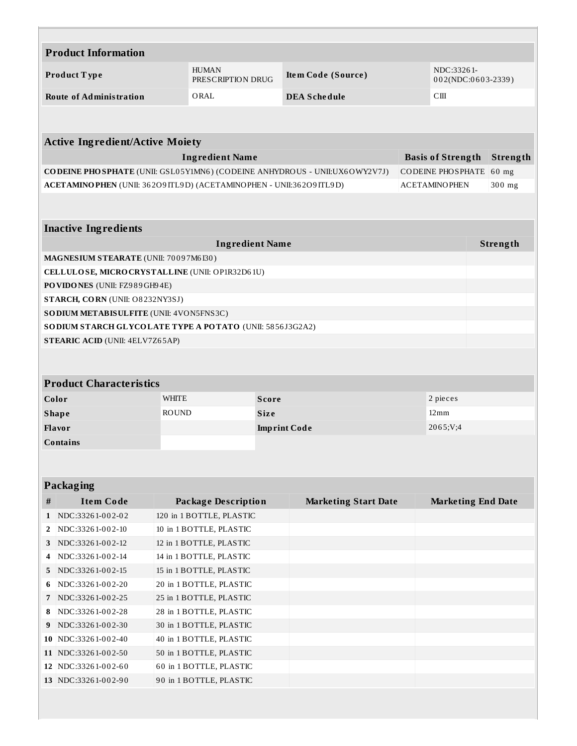| <b>Product Information</b>                                                  |                                   |                     |                             |  |                           |                    |  |
|-----------------------------------------------------------------------------|-----------------------------------|---------------------|-----------------------------|--|---------------------------|--------------------|--|
| Product Type                                                                | <b>HUMAN</b><br>PRESCRIPTION DRUG |                     | Item Code (Source)          |  | NDC:33261-                | 002(NDC:0603-2339) |  |
| <b>Route of Administration</b>                                              | ORAL                              |                     | <b>DEA Schedule</b>         |  | C <sub>III</sub>          |                    |  |
|                                                                             |                                   |                     |                             |  |                           |                    |  |
|                                                                             |                                   |                     |                             |  |                           |                    |  |
| <b>Active Ingredient/Active Moiety</b>                                      |                                   |                     |                             |  |                           |                    |  |
|                                                                             | <b>Ingredient Name</b>            |                     |                             |  | <b>Basis of Strength</b>  | Strength           |  |
| CODEINE PHO SPHATE (UNII: GSL05Y1MN6) (CODEINE ANHYDROUS - UNII:UX6OWY2V7J) |                                   |                     |                             |  | <b>CODEINE PHOSPHATE</b>  | 60 mg              |  |
| ACETAMINO PHEN (UNII: 36209ITL9D) (ACETAMINO PHEN - UNII:36209ITL9D)        |                                   |                     |                             |  | <b>ACETAMINOPHEN</b>      | 300 mg             |  |
|                                                                             |                                   |                     |                             |  |                           |                    |  |
|                                                                             |                                   |                     |                             |  |                           |                    |  |
| <b>Inactive Ingredients</b>                                                 |                                   |                     |                             |  |                           |                    |  |
|                                                                             | <b>Ingredient Name</b>            |                     |                             |  |                           | Strength           |  |
| MAGNESIUM STEARATE (UNII: 70097M6I30)                                       |                                   |                     |                             |  |                           |                    |  |
| CELLULOSE, MICRO CRYSTALLINE (UNII: OP1R32D61U)                             |                                   |                     |                             |  |                           |                    |  |
| PO VIDONES (UNII: FZ989GH94E)                                               |                                   |                     |                             |  |                           |                    |  |
| STARCH, CORN (UNII: O8232NY3SJ)                                             |                                   |                     |                             |  |                           |                    |  |
| SODIUM METABISULFITE (UNII: 4VON5FNS3C)                                     |                                   |                     |                             |  |                           |                    |  |
| SO DIUM STARCH GLYCOLATE TYPE A POTATO (UNII: 5856J3G2A2)                   |                                   |                     |                             |  |                           |                    |  |
| <b>STEARIC ACID (UNII: 4ELV7Z65AP)</b>                                      |                                   |                     |                             |  |                           |                    |  |
|                                                                             |                                   |                     |                             |  |                           |                    |  |
| <b>Product Characteristics</b>                                              |                                   |                     |                             |  |                           |                    |  |
| Color                                                                       | <b>WHITE</b>                      | <b>Score</b>        |                             |  | 2 pieces                  |                    |  |
| <b>Shape</b>                                                                | <b>ROUND</b>                      | <b>Size</b>         |                             |  | $12 \,\mathrm{mm}$        |                    |  |
| Flavor                                                                      |                                   | <b>Imprint Code</b> |                             |  | 2065;V;4                  |                    |  |
| <b>Contains</b>                                                             |                                   |                     |                             |  |                           |                    |  |
|                                                                             |                                   |                     |                             |  |                           |                    |  |
|                                                                             |                                   |                     |                             |  |                           |                    |  |
| Packaging                                                                   |                                   |                     |                             |  |                           |                    |  |
| <b>Item Code</b><br>#                                                       | <b>Package Description</b>        |                     | <b>Marketing Start Date</b> |  | <b>Marketing End Date</b> |                    |  |
| NDC:33261-002-02<br>$\mathbf{1}$                                            | 120 in 1 BOTTLE, PLASTIC          |                     |                             |  |                           |                    |  |
| NDC:33261-002-10<br>2                                                       | 10 in 1 BOTTLE, PLASTIC           |                     |                             |  |                           |                    |  |
| NDC:33261-002-12<br>3                                                       | 12 in 1 BOTTLE, PLASTIC           |                     |                             |  |                           |                    |  |
| NDC:33261-002-14<br>4                                                       | 14 in 1 BOTTLE, PLASTIC           |                     |                             |  |                           |                    |  |
| NDC:33261-002-15<br>5.                                                      | 15 in 1 BOTTLE, PLASTIC           |                     |                             |  |                           |                    |  |
| NDC:33261-002-20<br>6                                                       | 20 in 1 BOTTLE, PLASTIC           |                     |                             |  |                           |                    |  |
| NDC:33261-002-25<br>7                                                       | 25 in 1 BOTTLE, PLASTIC           |                     |                             |  |                           |                    |  |
| NDC:33261-002-28<br>8                                                       | 28 in 1 BOTTLE, PLASTIC           |                     |                             |  |                           |                    |  |
| NDC:33261-002-30<br>9                                                       | 30 in 1 BOTTLE, PLASTIC           |                     |                             |  |                           |                    |  |
| 10 NDC:33261-002-40                                                         | 40 in 1 BOTTLE, PLASTIC           |                     |                             |  |                           |                    |  |
| 11 NDC:33261-002-50                                                         | 50 in 1 BOTTLE, PLASTIC           |                     |                             |  |                           |                    |  |
| 12 NDC:33261-002-60                                                         | 60 in 1 BOTTLE, PLASTIC           |                     |                             |  |                           |                    |  |
| 13 NDC:33261-002-90                                                         | 90 in 1 BOTTLE, PLASTIC           |                     |                             |  |                           |                    |  |
|                                                                             |                                   |                     |                             |  |                           |                    |  |